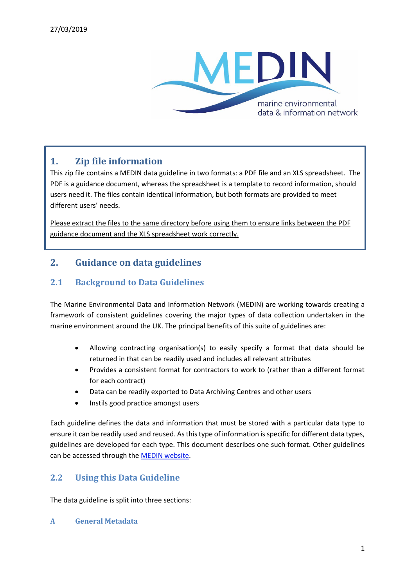

## **1. Zip file information**

This zip file contains a MEDIN data guideline in two formats: a PDF file and an XLS spreadsheet. The PDF is a guidance document, whereas the spreadsheet is a template to record information, should users need it. The files contain identical information, but both formats are provided to meet different users' needs.

Please extract the files to the same directory before using them to ensure links between the PDF guidance document and the XLS spreadsheet work correctly.

# **2. Guidance on data guidelines**

### **2.1 Background to Data Guidelines**

The Marine Environmental Data and Information Network (MEDIN) are working towards creating a framework of consistent guidelines covering the major types of data collection undertaken in the marine environment around the UK. The principal benefits of this suite of guidelines are:

- Allowing contracting organisation(s) to easily specify a format that data should be returned in that can be readily used and includes all relevant attributes
- Provides a consistent format for contractors to work to (rather than a different format for each contract)
- Data can be readily exported to Data Archiving Centres and other users
- Instils good practice amongst users

Each guideline defines the data and information that must be stored with a particular data type to ensure it can be readily used and reused. As this type of information is specific for different data types, guidelines are developed for each type. This document describes one such format. Other guidelines can be accessed through the MEDIN website.

## **2.2 Using this Data Guideline**

The data guideline is split into three sections:

**A General Metadata**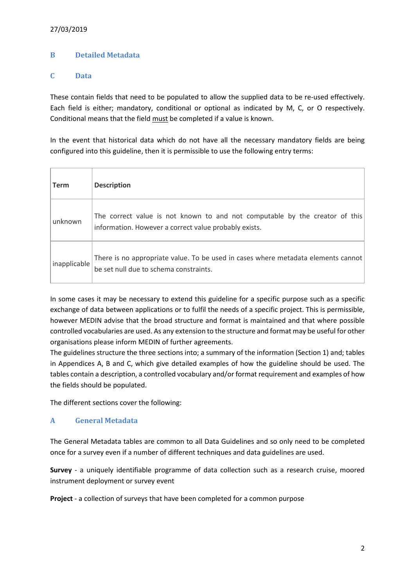#### 27/03/2019

#### **B Detailed Metadata**

#### **C Data**

These contain fields that need to be populated to allow the supplied data to be re-used effectively. Each field is either; mandatory, conditional or optional as indicated by M, C, or O respectively. Conditional means that the field must be completed if a value is known.

In the event that historical data which do not have all the necessary mandatory fields are being configured into this guideline, then it is permissible to use the following entry terms:

| Term         | <b>Description</b>                                                                                                                   |
|--------------|--------------------------------------------------------------------------------------------------------------------------------------|
| unknown      | The correct value is not known to and not computable by the creator of this<br>information. However a correct value probably exists. |
| inapplicable | There is no appropriate value. To be used in cases where metadata elements cannot<br>be set null due to schema constraints.          |

In some cases it may be necessary to extend this guideline for a specific purpose such as a specific exchange of data between applications or to fulfil the needs of a specific project. This is permissible, however MEDIN advise that the broad structure and format is maintained and that where possible controlled vocabularies are used. As any extension to the structure and format may be useful for other organisations please inform MEDIN of further agreements.

The guidelines structure the three sections into; a summary of the information (Section 1) and; tables in Appendices A, B and C, which give detailed examples of how the guideline should be used. The tables contain a description, a controlled vocabulary and/or format requirement and examples of how the fields should be populated.

The different sections cover the following:

#### **A General Metadata**

The General Metadata tables are common to all Data Guidelines and so only need to be completed once for a survey even if a number of different techniques and data guidelines are used.

**Survey** - a uniquely identifiable programme of data collection such as a research cruise, moored instrument deployment or survey event

**Project** - a collection of surveys that have been completed for a common purpose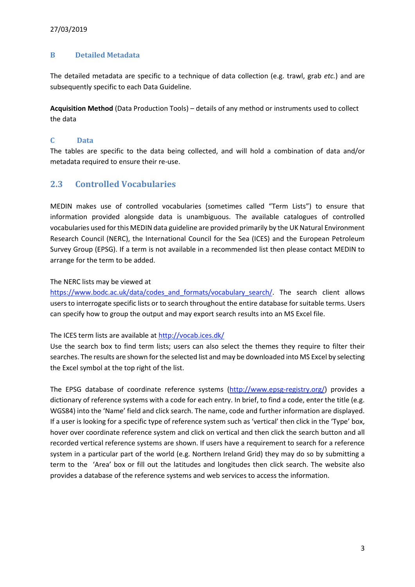#### **B Detailed Metadata**

The detailed metadata are specific to a technique of data collection (e.g. trawl, grab *etc.*) and are subsequently specific to each Data Guideline.

**Acquisition Method** (Data Production Tools) – details of any method or instruments used to collect the data

#### **C Data**

The tables are specific to the data being collected, and will hold a combination of data and/or metadata required to ensure their re-use.

## **2.3 Controlled Vocabularies**

MEDIN makes use of controlled vocabularies (sometimes called "Term Lists") to ensure that information provided alongside data is unambiguous. The available catalogues of controlled vocabularies used for this MEDIN data guideline are provided primarily by the UK Natural Environment Research Council (NERC), the International Council for the Sea (ICES) and the European Petroleum Survey Group (EPSG). If a term is not available in a recommended list then please contact MEDIN to arrange for the term to be added.

#### The NERC lists may be viewed at

https://www.bodc.ac.uk/data/codes\_and\_formats/vocabulary\_search/. The search client allows users to interrogate specific lists or to search throughout the entire database for suitable terms. Users can specify how to group the output and may export search results into an MS Excel file.

#### The ICES term lists are available at http://vocab.ices.dk/

Use the search box to find term lists; users can also select the themes they require to filter their searches. The results are shown for the selected list and may be downloaded into MS Excel by selecting the Excel symbol at the top right of the list.

The EPSG database of coordinate reference systems (http://www.epsg-registry.org/) provides a dictionary of reference systems with a code for each entry. In brief, to find a code, enter the title (e.g. WGS84) into the 'Name' field and click search. The name, code and further information are displayed. If a user is looking for a specific type of reference system such as 'vertical' then click in the 'Type' box, hover over coordinate reference system and click on vertical and then click the search button and all recorded vertical reference systems are shown. If users have a requirement to search for a reference system in a particular part of the world (e.g. Northern Ireland Grid) they may do so by submitting a term to the 'Area' box or fill out the latitudes and longitudes then click search. The website also provides a database of the reference systems and web services to access the information.